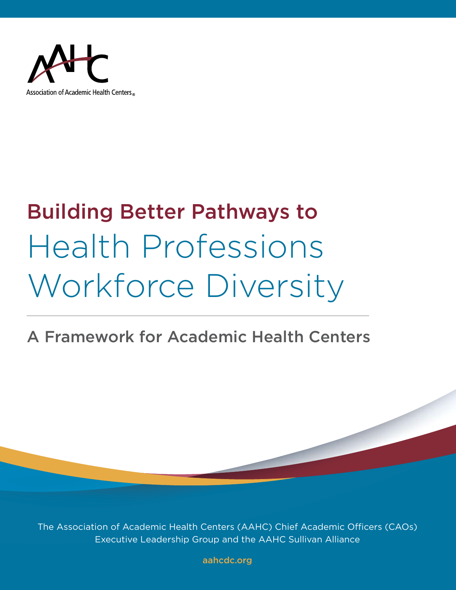

# Building Better Pathways to Health Professions Workforce Diversity

# A Framework for Academic Health Centers

The Association of Academic Health Centers (AAHC) Chief Academic Officers (CAOs) Executive Leadership Group and the AAHC Sullivan Alliance

[aahcdc.org](https://www.aahcdc.org)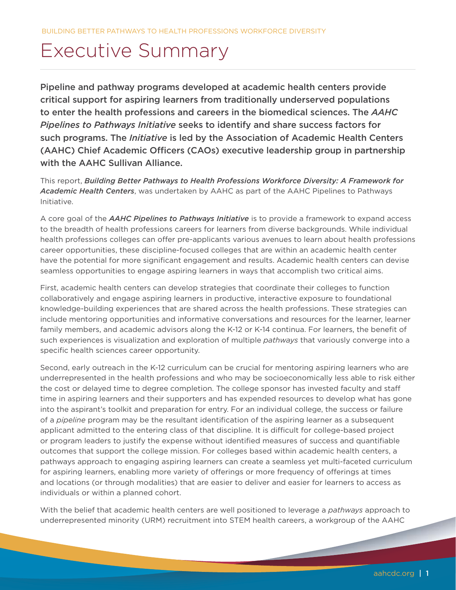# Executive Summary

Pipeline and pathway programs developed at academic health centers provide critical support for aspiring learners from traditionally underserved populations to enter the health professions and careers in the biomedical sciences. The *AAHC Pipelines to Pathways Initiative* seeks to identify and share success factors for such programs. The *Initiative* is led by the Association of Academic Health Centers (AAHC) Chief Academic Officers (CAOs) executive leadership group in partnership with the AAHC Sullivan Alliance.

This report, *Building Better Pathways to Health Professions Workforce Diversity: A Framework for Academic Health Centers*, was undertaken by AAHC as part of the AAHC Pipelines to Pathways Initiative.

A core goal of the *AAHC Pipelines to Pathways Initiative* is to provide a framework to expand access to the breadth of health professions careers for learners from diverse backgrounds. While individual health professions colleges can offer pre-applicants various avenues to learn about health professions career opportunities, these discipline-focused colleges that are within an academic health center have the potential for more significant engagement and results. Academic health centers can devise seamless opportunities to engage aspiring learners in ways that accomplish two critical aims.

First, academic health centers can develop strategies that coordinate their colleges to function collaboratively and engage aspiring learners in productive, interactive exposure to foundational knowledge-building experiences that are shared across the health professions. These strategies can include mentoring opportunities and informative conversations and resources for the learner, learner family members, and academic advisors along the K-12 or K-14 continua. For learners, the benefit of such experiences is visualization and exploration of multiple *pathways* that variously converge into a specific health sciences career opportunity.

Second, early outreach in the K-12 curriculum can be crucial for mentoring aspiring learners who are underrepresented in the health professions and who may be socioeconomically less able to risk either the cost or delayed time to degree completion. The college sponsor has invested faculty and staff time in aspiring learners and their supporters and has expended resources to develop what has gone into the aspirant's toolkit and preparation for entry. For an individual college, the success or failure of a *pipeline* program may be the resultant identification of the aspiring learner as a subsequent applicant admitted to the entering class of that discipline. It is difficult for college-based project or program leaders to justify the expense without identified measures of success and quantifiable outcomes that support the college mission. For colleges based within academic health centers, a pathways approach to engaging aspiring learners can create a seamless yet multi-faceted curriculum for aspiring learners, enabling more variety of offerings or more frequency of offerings at times and locations (or through modalities) that are easier to deliver and easier for learners to access as individuals or within a planned cohort.

With the belief that academic health centers are well positioned to leverage a *pathways* approach to underrepresented minority (URM) recruitment into STEM health careers, a workgroup of the AAHC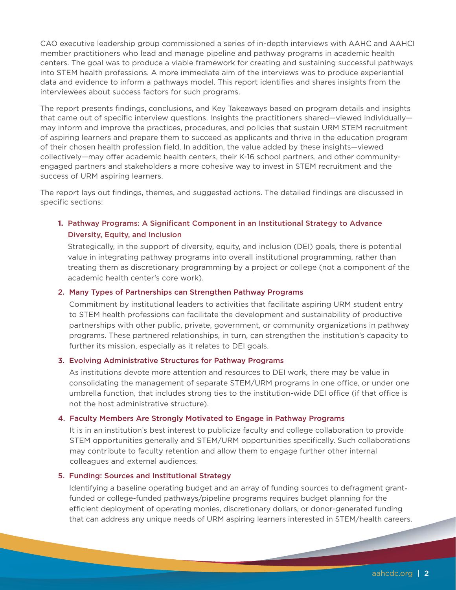CAO executive leadership group commissioned a series of in-depth interviews with AAHC and AAHCI member practitioners who lead and manage pipeline and pathway programs in academic health centers. The goal was to produce a viable framework for creating and sustaining successful pathways into STEM health professions. A more immediate aim of the interviews was to produce experiential data and evidence to inform a pathways model. This report identifies and shares insights from the interviewees about success factors for such programs.

The report presents findings, conclusions, and Key Takeaways based on program details and insights that came out of specific interview questions. Insights the practitioners shared—viewed individually may inform and improve the practices, procedures, and policies that sustain URM STEM recruitment of aspiring learners and prepare them to succeed as applicants and thrive in the education program of their chosen health profession field. In addition, the value added by these insights—viewed collectively—may offer academic health centers, their K-16 school partners, and other communityengaged partners and stakeholders a more cohesive way to invest in STEM recruitment and the success of URM aspiring learners.

The report lays out findings, themes, and suggested actions. The detailed findings are discussed in specific sections:

#### **1.** Pathway Programs: A Significant Component in an Institutional Strategy to Advance Diversity, Equity, and Inclusion

Strategically, in the support of diversity, equity, and inclusion (DEI) goals, there is potential value in integrating pathway programs into overall institutional programming, rather than treating them as discretionary programming by a project or college (not a component of the academic health center's core work).

#### 2. Many Types of Partnerships can Strengthen Pathway Programs

Commitment by institutional leaders to activities that facilitate aspiring URM student entry to STEM health professions can facilitate the development and sustainability of productive partnerships with other public, private, government, or community organizations in pathway programs. These partnered relationships, in turn, can strengthen the institution's capacity to further its mission, especially as it relates to DEI goals.

#### 3. Evolving Administrative Structures for Pathway Programs

As institutions devote more attention and resources to DEI work, there may be value in consolidating the management of separate STEM/URM programs in one office, or under one umbrella function, that includes strong ties to the institution-wide DEI office (if that office is not the host administrative structure).

#### 4. Faculty Members Are Strongly Motivated to Engage in Pathway Programs

It is in an institution's best interest to publicize faculty and college collaboration to provide STEM opportunities generally and STEM/URM opportunities specifically. Such collaborations may contribute to faculty retention and allow them to engage further other internal colleagues and external audiences.

#### 5. Funding: Sources and Institutional Strategy

Identifying a baseline operating budget and an array of funding sources to defragment grantfunded or college-funded pathways/pipeline programs requires budget planning for the efficient deployment of operating monies, discretionary dollars, or donor-generated funding that can address any unique needs of URM aspiring learners interested in STEM/health careers.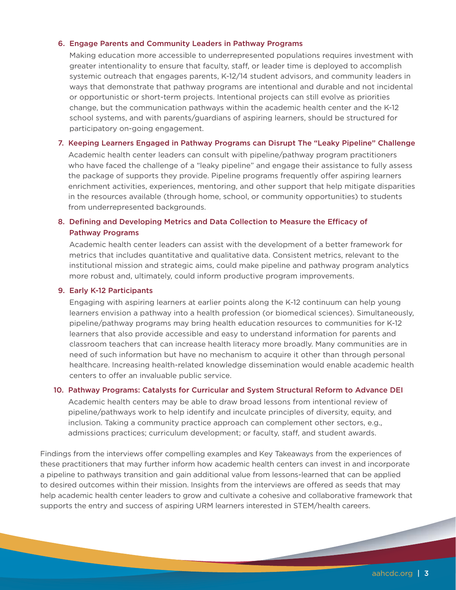#### 6. Engage Parents and Community Leaders in Pathway Programs

Making education more accessible to underrepresented populations requires investment with greater intentionality to ensure that faculty, staff, or leader time is deployed to accomplish systemic outreach that engages parents, K-12/14 student advisors, and community leaders in ways that demonstrate that pathway programs are intentional and durable and not incidental or opportunistic or short-term projects. Intentional projects can still evolve as priorities change, but the communication pathways within the academic health center and the K-12 school systems, and with parents/guardians of aspiring learners, should be structured for participatory on-going engagement.

#### 7. Keeping Learners Engaged in Pathway Programs can Disrupt The "Leaky Pipeline" Challenge

Academic health center leaders can consult with pipeline/pathway program practitioners who have faced the challenge of a "leaky pipeline" and engage their assistance to fully assess the package of supports they provide. Pipeline programs frequently offer aspiring learners enrichment activities, experiences, mentoring, and other support that help mitigate disparities in the resources available (through home, school, or community opportunities) to students from underrepresented backgrounds.

#### 8. Defining and Developing Metrics and Data Collection to Measure the Efficacy of Pathway Programs

Academic health center leaders can assist with the development of a better framework for metrics that includes quantitative and qualitative data. Consistent metrics, relevant to the institutional mission and strategic aims, could make pipeline and pathway program analytics more robust and, ultimately, could inform productive program improvements.

#### 9. Early K-12 Participants

Engaging with aspiring learners at earlier points along the K-12 continuum can help young learners envision a pathway into a health profession (or biomedical sciences). Simultaneously, pipeline/pathway programs may bring health education resources to communities for K-12 learners that also provide accessible and easy to understand information for parents and classroom teachers that can increase health literacy more broadly. Many communities are in need of such information but have no mechanism to acquire it other than through personal healthcare. Increasing health-related knowledge dissemination would enable academic health centers to offer an invaluable public service.

#### 10. Pathway Programs: Catalysts for Curricular and System Structural Reform to Advance DEI

Academic health centers may be able to draw broad lessons from intentional review of pipeline/pathways work to help identify and inculcate principles of diversity, equity, and inclusion. Taking a community practice approach can complement other sectors, e.g., admissions practices; curriculum development; or faculty, staff, and student awards.

Findings from the interviews offer compelling examples and Key Takeaways from the experiences of these practitioners that may further inform how academic health centers can invest in and incorporate a pipeline to pathways transition and gain additional value from lessons-learned that can be applied to desired outcomes within their mission. Insights from the interviews are offered as seeds that may help academic health center leaders to grow and cultivate a cohesive and collaborative framework that supports the entry and success of aspiring URM learners interested in STEM/health careers.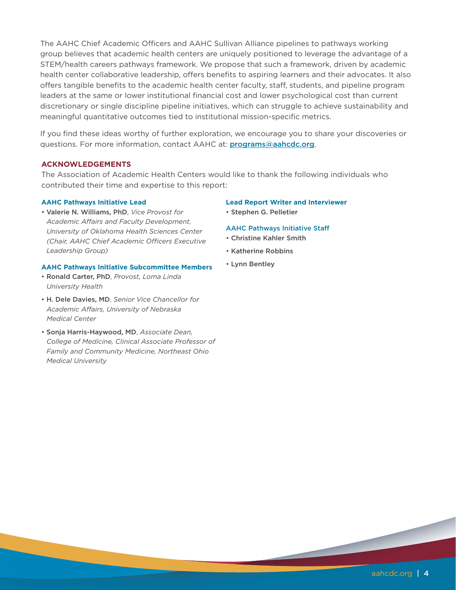The AAHC Chief Academic Officers and AAHC Sullivan Alliance pipelines to pathways working group believes that academic health centers are uniquely positioned to leverage the advantage of a STEM/health careers pathways framework. We propose that such a framework, driven by academic health center collaborative leadership, offers benefits to aspiring learners and their advocates. It also offers tangible benefits to the academic health center faculty, staff, students, and pipeline program leaders at the same or lower institutional financial cost and lower psychological cost than current discretionary or single discipline pipeline initiatives, which can struggle to achieve sustainability and meaningful quantitative outcomes tied to institutional mission-specific metrics.

If you find these ideas worthy of further exploration, we encourage you to share your discoveries or questions. For more information, contact AAHC at: [programs@aahcdc.org](mailto:programs%40aahcdc.org?subject=Programs).

#### **ACKNOWLEDGEMENTS**

The Association of Academic Health Centers would like to thank the following individuals who contributed their time and expertise to this report:

#### **AAHC Pathways Initiative Lead**

• Valerie N. Williams, PhD, *Vice Provost for Academic Affairs and Faculty Development, University of Oklahoma Health Sciences Center (Chair, AAHC Chief Academic Officers Executive Leadership Group)*

#### **AAHC Pathways Initiative Subcommittee Members**

- Ronald Carter, PhD, *Provost, Loma Linda University Health*
- H. Dele Davies, MD, *Senior Vice Chancellor for Academic Affairs, University of Nebraska Medical Center*
- Sonja Harris-Haywood, MD, *Associate Dean, College of Medicine, Clinical Associate Professor of Family and Community Medicine, Northeast Ohio Medical University*

#### **Lead Report Writer and Interviewer**

• Stephen G. Pelletier

#### AAHC Pathways Initiative Staff

- Christine Kahler Smith
- Katherine Robbins
- Lynn Bentley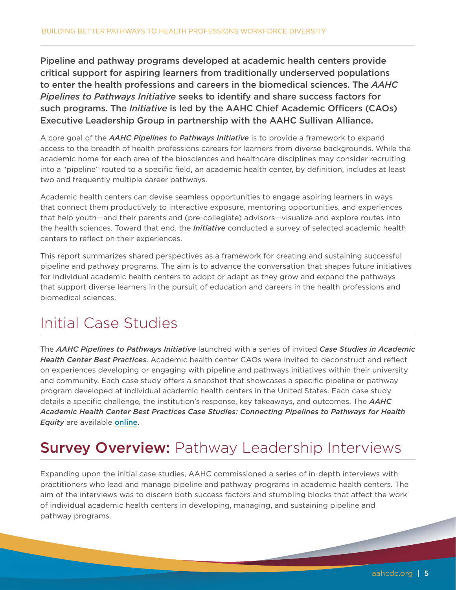Pipeline and pathway programs developed at academic health centers provide critical support for aspiring learners from traditionally underserved populations to enter the health professions and careers in the biomedical sciences. The *AAHC Pipelines to Pathways Initiative* seeks to identify and share success factors for such programs. The *Initiative* is led by the AAHC Chief Academic Officers (CAOs) Executive Leadership Group in partnership with the AAHC Sullivan Alliance.

A core goal of the *AAHC Pipelines to Pathways Initiative* is to provide a framework to expand access to the breadth of health professions careers for learners from diverse backgrounds. While the academic home for each area of the biosciences and healthcare disciplines may consider recruiting into a "pipeline" routed to a specific field, an academic health center, by definition, includes at least two and frequently multiple career pathways.

Academic health centers can devise seamless opportunities to engage aspiring learners in ways that connect them productively to interactive exposure, mentoring opportunities, and experiences that help youth—and their parents and (pre-collegiate) advisors—visualize and explore routes into the health sciences. Toward that end, the *Initiative* conducted a survey of selected academic health centers to reflect on their experiences.

This report summarizes shared perspectives as a framework for creating and sustaining successful pipeline and pathway programs. The aim is to advance the conversation that shapes future initiatives for individual academic health centers to adopt or adapt as they grow and expand the pathways that support diverse learners in the pursuit of education and careers in the health professions and biomedical sciences.

## Initial Case Studies

The *AAHC Pipelines to Pathways Initiative* launched with a series of invited *Case Studies in Academic Health Center Best Practices*. Academic health center CAOs were invited to deconstruct and reflect on experiences developing or engaging with pipeline and pathways initiatives within their university and community. Each case study offers a snapshot that showcases a specific pipeline or pathway program developed at individual academic health centers in the United States. Each case study details a specific challenge, the institution's response, key takeaways, and outcomes. The *AAHC Academic Health Center Best Practices Case Studies: Connecting Pipelines to Pathways for Health Equity* are available [online](https://www.aahcdc.org/Publications-Resources/Series/Connecting-Pipelines-to-Pathways-for-Health-Equity-Case-Studies).

# **Survey Overview: Pathway Leadership Interviews**

Expanding upon the initial case studies, AAHC commissioned a series of in-depth interviews with practitioners who lead and manage pipeline and pathway programs in academic health centers. The aim of the interviews was to discern both success factors and stumbling blocks that affect the work of individual academic health centers in developing, managing, and sustaining pipeline and pathway programs.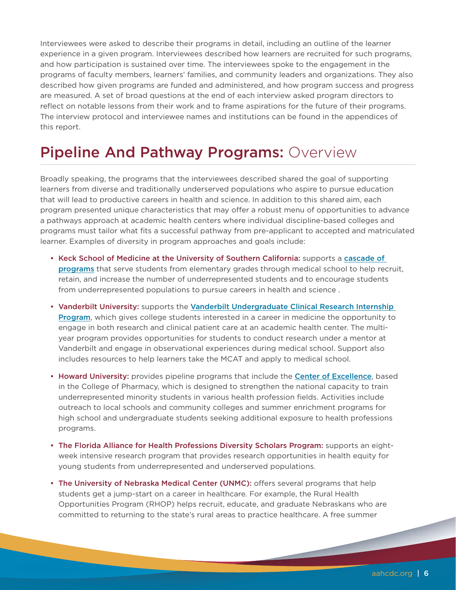Interviewees were asked to describe their programs in detail, including an outline of the learner experience in a given program. Interviewees described how learners are recruited for such programs, and how participation is sustained over time. The interviewees spoke to the engagement in the programs of faculty members, learners' families, and community leaders and organizations. They also described how given programs are funded and administered, and how program success and progress are measured. A set of broad questions at the end of each interview asked program directors to reflect on notable lessons from their work and to frame aspirations for the future of their programs. The interview protocol and interviewee names and institutions can be found in the appendices of this report.

### Pipeline And Pathway Programs: Overview

Broadly speaking, the programs that the interviewees described shared the goal of supporting learners from diverse and traditionally underserved populations who aspire to pursue education that will lead to productive careers in health and science. In addition to this shared aim, each program presented unique characteristics that may offer a robust menu of opportunities to advance a pathways approach at academic health centers where individual discipline-based colleges and programs must tailor what fits a successful pathway from pre-applicant to accepted and matriculated learner. Examples of diversity in program approaches and goals include:

- Keck School of Medicine at the University of Southern California: supports a [cascade of](https://keck.usc.edu/diversity-and-inclusion/pipeline-programs)  [programs](https://keck.usc.edu/diversity-and-inclusion/pipeline-programs) that serve students from elementary grades through medical school to help recruit, retain, and increase the number of underrepresented students and to encourage students from underrepresented populations to pursue careers in health and science .
- Vanderbilt University: supports the Vanderbilt Undergraduate Clinical Research Internship [Program](https://www.vumc.org/diversity/undergraduate-clinical-research-internship-program), which gives college students interested in a career in medicine the opportunity to engage in both research and clinical patient care at an academic health center. The multiyear program provides opportunities for students to conduct research under a mentor at Vanderbilt and engage in observational experiences during medical school. Support also includes resources to help learners take the MCAT and apply to medical school.
- Howard University: provides pipeline programs that include the [Center of Excellence](https://pharmacy.howard.edu/centers-grant-programs/center-excellence), based in the College of Pharmacy, which is designed to strengthen the national capacity to train underrepresented minority students in various health profession fields. Activities include outreach to local schools and community colleges and summer enrichment programs for high school and undergraduate students seeking additional exposure to health professions programs.
- The Florida Alliance for Health Professions Diversity Scholars Program: supports an eightweek intensive research program that provides research opportunities in health equity for young students from underrepresented and underserved populations.
- The University of Nebraska Medical Center (UNMC): offers several programs that help students get a jump-start on a career in healthcare. For example, the Rural Health Opportunities Program (RHOP) helps recruit, educate, and graduate Nebraskans who are committed to returning to the state's rural areas to practice healthcare. A free summer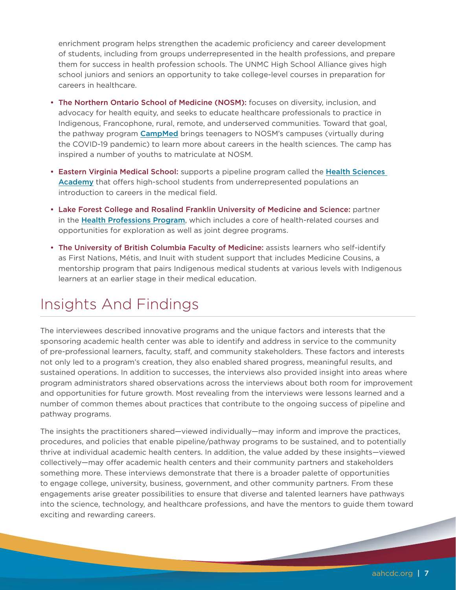enrichment program helps strengthen the academic proficiency and career development of students, including from groups underrepresented in the health professions, and prepare them for success in health profession schools. The UNMC High School Alliance gives high school juniors and seniors an opportunity to take college-level courses in preparation for careers in healthcare.

- The Northern Ontario School of Medicine (NOSM): focuses on diversity, inclusion, and advocacy for health equity, and seeks to educate healthcare professionals to practice in Indigenous, Francophone, rural, remote, and underserved communities. Toward that goal, the pathway program **[CampMed](https://www.nosm.ca/our-community/community-engagement/youth-engagement/campmed/)** brings teenagers to NOSM's campuses (virtually during the COVID-19 pandemic) to learn more about careers in the health sciences. The camp has inspired a number of youths to matriculate at NOSM.
- Eastern Virginia Medical School: supports a pipeline program called the Health Sciences [Academy](https://www.facebook.com/EVMSedu/videos/evms-health-sciences-academy/720591101725948/) that offers high-school students from underrepresented populations an introduction to careers in the medical field.
- Lake Forest College and Rosalind Franklin University of Medicine and Science: partner in the [Health Professions Program](https://www.lakeforest.edu/academics/majors-and-minors/health-professions-program), which includes a core of health-related courses and opportunities for exploration as well as joint degree programs.
- The University of British Columbia Faculty of Medicine: assists learners who self-identify as First Nations, Métis, and Inuit with student support that includes Medicine Cousins, a mentorship program that pairs Indigenous medical students at various levels with Indigenous learners at an earlier stage in their medical education.

## Insights And Findings

The interviewees described innovative programs and the unique factors and interests that the sponsoring academic health center was able to identify and address in service to the community of pre-professional learners, faculty, staff, and community stakeholders. These factors and interests not only led to a program's creation, they also enabled shared progress, meaningful results, and sustained operations. In addition to successes, the interviews also provided insight into areas where program administrators shared observations across the interviews about both room for improvement and opportunities for future growth. Most revealing from the interviews were lessons learned and a number of common themes about practices that contribute to the ongoing success of pipeline and pathway programs.

The insights the practitioners shared—viewed individually—may inform and improve the practices, procedures, and policies that enable pipeline/pathway programs to be sustained, and to potentially thrive at individual academic health centers. In addition, the value added by these insights—viewed collectively—may offer academic health centers and their community partners and stakeholders something more. These interviews demonstrate that there is a broader palette of opportunities to engage college, university, business, government, and other community partners. From these engagements arise greater possibilities to ensure that diverse and talented learners have pathways into the science, technology, and healthcare professions, and have the mentors to guide them toward exciting and rewarding careers.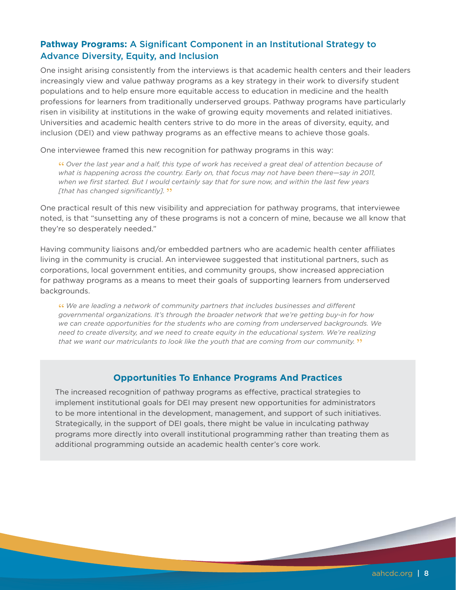#### **Pathway Programs:** A Significant Component in an Institutional Strategy to Advance Diversity, Equity, and Inclusion

One insight arising consistently from the interviews is that academic health centers and their leaders increasingly view and value pathway programs as a key strategy in their work to diversify student populations and to help ensure more equitable access to education in medicine and the health professions for learners from traditionally underserved groups. Pathway programs have particularly risen in visibility at institutions in the wake of growing equity movements and related initiatives. Universities and academic health centers strive to do more in the areas of diversity, equity, and inclusion (DEI) and view pathway programs as an effective means to achieve those goals.

One interviewee framed this new recognition for pathway programs in this way:

**"** *Over the last year and a half, this type of work has received a great deal of attention because of what is happening across the country. Early on, that focus may not have been there—say in 2011, when we first started. But I would certainly say that for sure now, and within the last few years [that has changed significantly].* **"**

One practical result of this new visibility and appreciation for pathway programs, that interviewee noted, is that "sunsetting any of these programs is not a concern of mine, because we all know that they're so desperately needed."

Having community liaisons and/or embedded partners who are academic health center affiliates living in the community is crucial. An interviewee suggested that institutional partners, such as corporations, local government entities, and community groups, show increased appreciation for pathway programs as a means to meet their goals of supporting learners from underserved backgrounds.

**"** *We are leading a network of community partners that includes businesses and different governmental organizations. It's through the broader network that we're getting buy-in for how we can create opportunities for the students who are coming from underserved backgrounds. We need to create diversity, and we need to create equity in the educational system. We're realizing that we want our matriculants to look like the youth that are coming from our community.* **"**

#### **Opportunities To Enhance Programs And Practices**

The increased recognition of pathway programs as effective, practical strategies to implement institutional goals for DEI may present new opportunities for administrators to be more intentional in the development, management, and support of such initiatives. Strategically, in the support of DEI goals, there might be value in inculcating pathway programs more directly into overall institutional programming rather than treating them as additional programming outside an academic health center's core work.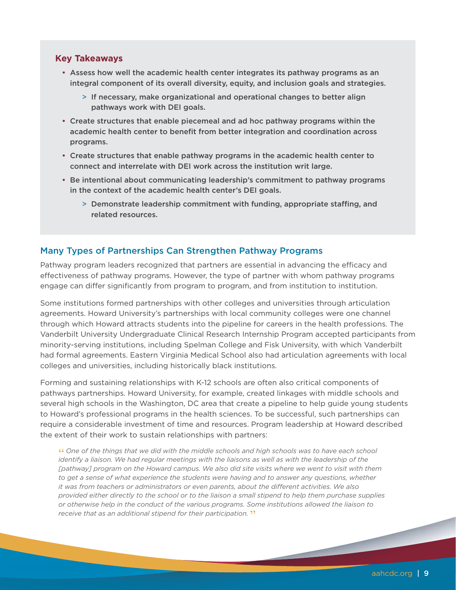#### **Key Takeaways**

- Assess how well the academic health center integrates its pathway programs as an integral component of its overall diversity, equity, and inclusion goals and strategies.
	- > If necessary, make organizational and operational changes to better align pathways work with DEI goals.
- Create structures that enable piecemeal and ad hoc pathway programs within the academic health center to benefit from better integration and coordination across programs.
- Create structures that enable pathway programs in the academic health center to connect and interrelate with DEI work across the institution writ large.
- Be intentional about communicating leadership's commitment to pathway programs in the context of the academic health center's DEI goals.
	- > Demonstrate leadership commitment with funding, appropriate staffing, and related resources.

#### Many Types of Partnerships Can Strengthen Pathway Programs

Pathway program leaders recognized that partners are essential in advancing the efficacy and effectiveness of pathway programs. However, the type of partner with whom pathway programs engage can differ significantly from program to program, and from institution to institution.

Some institutions formed partnerships with other colleges and universities through articulation agreements. Howard University's partnerships with local community colleges were one channel through which Howard attracts students into the pipeline for careers in the health professions. The Vanderbilt University Undergraduate Clinical Research Internship Program accepted participants from minority-serving institutions, including Spelman College and Fisk University, with which Vanderbilt had formal agreements. Eastern Virginia Medical School also had articulation agreements with local colleges and universities, including historically black institutions.

Forming and sustaining relationships with K-12 schools are often also critical components of pathways partnerships. Howard University, for example, created linkages with middle schools and several high schools in the Washington, DC area that create a pipeline to help guide young students to Howard's professional programs in the health sciences. To be successful, such partnerships can require a considerable investment of time and resources. Program leadership at Howard described the extent of their work to sustain relationships with partners:

**"** *One of the things that we did with the middle schools and high schools was to have each school identify a liaison. We had regular meetings with the liaisons as well as with the leadership of the* [pathway] program on the Howard campus. We also did site visits where we went to visit with them *to get a sense of what experience the students were having and to answer any questions, whether it was from teachers or administrators or even parents, about the different activities. We also provided either directly to the school or to the liaison a small stipend to help them purchase supplies or otherwise help in the conduct of the various programs. Some institutions allowed the liaison to receive that as an additional stipend for their participation.* **"**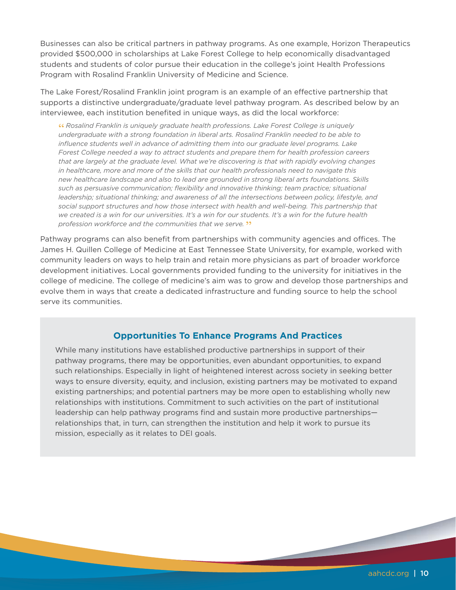Businesses can also be critical partners in pathway programs. As one example, Horizon Therapeutics provided \$500,000 in scholarships at Lake Forest College to help economically disadvantaged students and students of color pursue their education in the college's joint Health Professions Program with Rosalind Franklin University of Medicine and Science.

The Lake Forest/Rosalind Franklin joint program is an example of an effective partnership that supports a distinctive undergraduate/graduate level pathway program. As described below by an interviewee, each institution benefited in unique ways, as did the local workforce:

**"** *Rosalind Franklin is uniquely graduate health professions. Lake Forest College is uniquely undergraduate with a strong foundation in liberal arts. Rosalind Franklin needed to be able to influence students well in advance of admitting them into our graduate level programs. Lake Forest College needed a way to attract students and prepare them for health profession careers that are largely at the graduate level. What we're discovering is that with rapidly evolving changes in healthcare, more and more of the skills that our health professionals need to navigate this new healthcare landscape and also to lead are grounded in strong liberal arts foundations. Skills such as persuasive communication; flexibility and innovative thinking; team practice; situational leadership; situational thinking; and awareness of all the intersections between policy, lifestyle, and social support structures and how those intersect with health and well-being. This partnership that we created is a win for our universities. It's a win for our students. It's a win for the future health profession workforce and the communities that we serve.* **"**

Pathway programs can also benefit from partnerships with community agencies and offices. The James H. Quillen College of Medicine at East Tennessee State University, for example, worked with community leaders on ways to help train and retain more physicians as part of broader workforce development initiatives. Local governments provided funding to the university for initiatives in the college of medicine. The college of medicine's aim was to grow and develop those partnerships and evolve them in ways that create a dedicated infrastructure and funding source to help the school serve its communities.

#### **Opportunities To Enhance Programs And Practices**

While many institutions have established productive partnerships in support of their pathway programs, there may be opportunities, even abundant opportunities, to expand such relationships. Especially in light of heightened interest across society in seeking better ways to ensure diversity, equity, and inclusion, existing partners may be motivated to expand existing partnerships; and potential partners may be more open to establishing wholly new relationships with institutions. Commitment to such activities on the part of institutional leadership can help pathway programs find and sustain more productive partnerships relationships that, in turn, can strengthen the institution and help it work to pursue its mission, especially as it relates to DEI goals.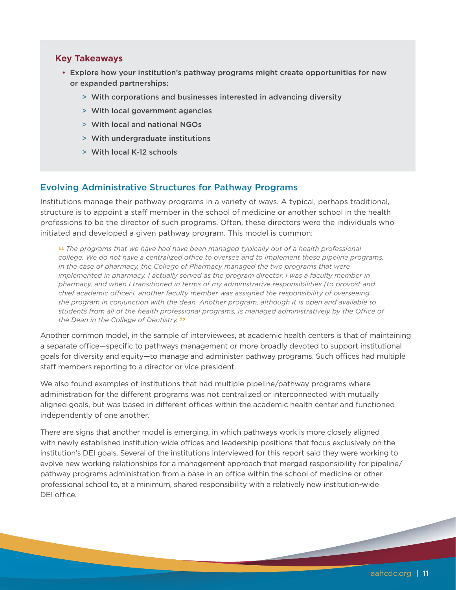#### **Key Takeaways**

- Explore how your institution's pathway programs might create opportunities for new or expanded partnerships:
	- > With corporations and businesses interested in advancing diversity
	- > With local government agencies
	- > With local and national NGOs
	- > With undergraduate institutions
	- > With local K-12 schools

#### Evolving Administrative Structures for Pathway Programs

Institutions manage their pathway programs in a variety of ways. A typical, perhaps traditional, structure is to appoint a staff member in the school of medicine or another school in the health professions to be the director of such programs. Often, these directors were the individuals who initiated and developed a given pathway program. This model is common:

**"** *The programs that we have had have been managed typically out of a health professional college. We do not have a centralized office to oversee and to implement these pipeline programs. In the case of pharmacy, the College of Pharmacy managed the two programs that were implemented in pharmacy. I actually served as the program director. I was a faculty member in pharmacy, and when I transitioned in terms of my administrative responsibilities [to provost and chief academic officer], another faculty member was assigned the responsibility of overseeing the program in conjunction with the dean. Another program, although it is open and available to students from all of the health professional programs, is managed administratively by the Office of the Dean in the College of Dentistry.* **"**

Another common model, in the sample of interviewees, at academic health centers is that of maintaining a separate office—specific to pathways management or more broadly devoted to support institutional goals for diversity and equity—to manage and administer pathway programs. Such offices had multiple staff members reporting to a director or vice president.

We also found examples of institutions that had multiple pipeline/pathway programs where administration for the different programs was not centralized or interconnected with mutually aligned goals, but was based in different offices within the academic health center and functioned independently of one another.

There are signs that another model is emerging, in which pathways work is more closely aligned with newly established institution-wide offices and leadership positions that focus exclusively on the institution's DEI goals. Several of the institutions interviewed for this report said they were working to evolve new working relationships for a management approach that merged responsibility for pipeline/ pathway programs administration from a base in an office within the school of medicine or other professional school to, at a minimum, shared responsibility with a relatively new institution-wide DEI office.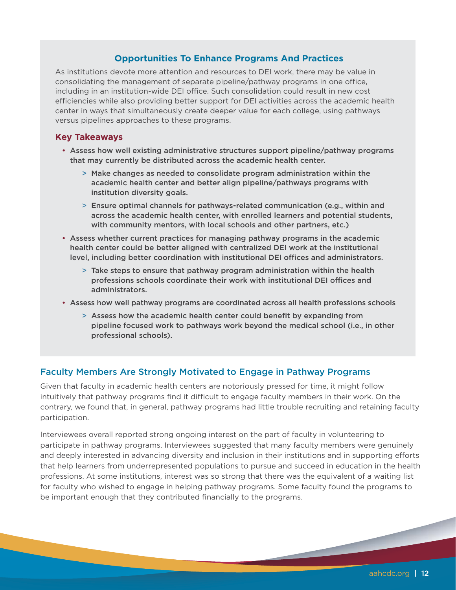#### **Opportunities To Enhance Programs And Practices**

As institutions devote more attention and resources to DEI work, there may be value in consolidating the management of separate pipeline/pathway programs in one office, including in an institution-wide DEI office. Such consolidation could result in new cost efficiencies while also providing better support for DEI activities across the academic health center in ways that simultaneously create deeper value for each college, using pathways versus pipelines approaches to these programs.

#### **Key Takeaways**

- Assess how well existing administrative structures support pipeline/pathway programs that may currently be distributed across the academic health center.
	- > Make changes as needed to consolidate program administration within the academic health center and better align pipeline/pathways programs with institution diversity goals.
	- > Ensure optimal channels for pathways-related communication (e.g., within and across the academic health center, with enrolled learners and potential students, with community mentors, with local schools and other partners, etc.)
- Assess whether current practices for managing pathway programs in the academic health center could be better aligned with centralized DEI work at the institutional level, including better coordination with institutional DEI offices and administrators.
	- > Take steps to ensure that pathway program administration within the health professions schools coordinate their work with institutional DEI offices and administrators.
- Assess how well pathway programs are coordinated across all health professions schools
	- > Assess how the academic health center could benefit by expanding from pipeline focused work to pathways work beyond the medical school (i.e., in other professional schools).

#### Faculty Members Are Strongly Motivated to Engage in Pathway Programs

Given that faculty in academic health centers are notoriously pressed for time, it might follow intuitively that pathway programs find it difficult to engage faculty members in their work. On the contrary, we found that, in general, pathway programs had little trouble recruiting and retaining faculty participation.

Interviewees overall reported strong ongoing interest on the part of faculty in volunteering to participate in pathway programs. Interviewees suggested that many faculty members were genuinely and deeply interested in advancing diversity and inclusion in their institutions and in supporting efforts that help learners from underrepresented populations to pursue and succeed in education in the health professions. At some institutions, interest was so strong that there was the equivalent of a waiting list for faculty who wished to engage in helping pathway programs. Some faculty found the programs to be important enough that they contributed financially to the programs.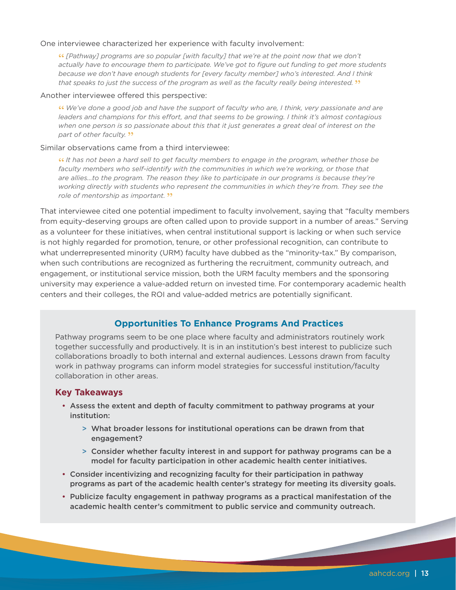#### One interviewee characterized her experience with faculty involvement:

**"** *[Pathway] programs are so popular [with faculty] that we're at the point now that we don't actually have to encourage them to participate. We've got to figure out funding to get more students because we don't have enough students for [every faculty member] who's interested. And I think that speaks to just the success of the program as well as the faculty really being interested.* **"**

#### Another interviewee offered this perspective:

**"** *We've done a good job and have the support of faculty who are, I think, very passionate and are leaders and champions for this effort, and that seems to be growing. I think it's almost contagious when one person is so passionate about this that it just generates a great deal of interest on the part of other faculty.* **"**

#### Similar observations came from a third interviewee:

**"** *It has not been a hard sell to get faculty members to engage in the program, whether those be faculty members who self-identify with the communities in which we're working, or those that are allies…to the program. The reason they like to participate in our programs is because they're working directly with students who represent the communities in which they're from. They see the role of mentorship as important.* **"**

That interviewee cited one potential impediment to faculty involvement, saying that "faculty members from equity-deserving groups are often called upon to provide support in a number of areas." Serving as a volunteer for these initiatives, when central institutional support is lacking or when such service is not highly regarded for promotion, tenure, or other professional recognition, can contribute to what underrepresented minority (URM) faculty have dubbed as the "minority-tax." By comparison, when such contributions are recognized as furthering the recruitment, community outreach, and engagement, or institutional service mission, both the URM faculty members and the sponsoring university may experience a value-added return on invested time. For contemporary academic health centers and their colleges, the ROI and value-added metrics are potentially significant.

#### **Opportunities To Enhance Programs And Practices**

Pathway programs seem to be one place where faculty and administrators routinely work together successfully and productively. It is in an institution's best interest to publicize such collaborations broadly to both internal and external audiences. Lessons drawn from faculty work in pathway programs can inform model strategies for successful institution/faculty collaboration in other areas.

#### **Key Takeaways**

- Assess the extent and depth of faculty commitment to pathway programs at your institution:
	- > What broader lessons for institutional operations can be drawn from that engagement?
	- > Consider whether faculty interest in and support for pathway programs can be a model for faculty participation in other academic health center initiatives.
- Consider incentivizing and recognizing faculty for their participation in pathway programs as part of the academic health center's strategy for meeting its diversity goals.
- Publicize faculty engagement in pathway programs as a practical manifestation of the academic health center's commitment to public service and community outreach.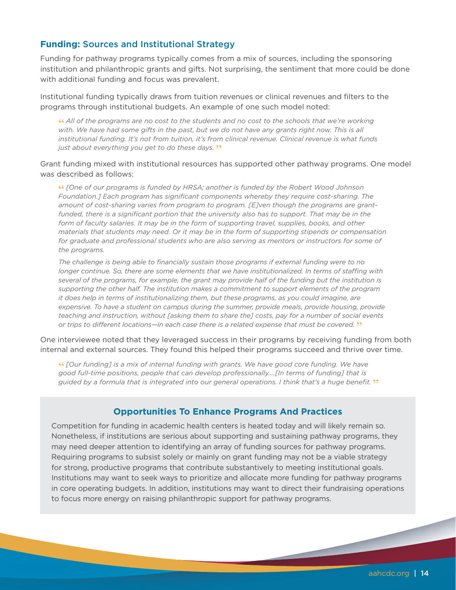#### **Funding:** Sources and Institutional Strategy

Funding for pathway programs typically comes from a mix of sources, including the sponsoring institution and philanthropic grants and gifts. Not surprising, the sentiment that more could be done with additional funding and focus was prevalent.

Institutional funding typically draws from tuition revenues or clinical revenues and filters to the programs through institutional budgets. An example of one such model noted:

**"** *All of the programs are no cost to the students and no cost to the schools that we're working*  with. We have had some gifts in the past, but we do not have any grants right now. This is all *institutional funding. It's not from tuition, it's from clinical revenue. Clinical revenue is what funds just about everything you get to do these days.* **"**

Grant funding mixed with institutional resources has supported other pathway programs. One model was described as follows:

**"** *[One of our programs is funded by HRSA; another is funded by the Robert Wood Johnson Foundation.] Each program has significant components whereby they require cost-sharing. The amount of cost-sharing varies from program to program. [E]ven though the programs are grant*funded, there is a significant portion that the university also has to support. That may be in the *form of faculty salaries. It may be in the form of supporting travel, supplies, books, and other materials that students may need. Or it may be in the form of supporting stipends or compensation for graduate and professional students who are also serving as mentors or instructors for some of the programs.* 

*The challenge is being able to financially sustain those programs if external funding were to no longer continue. So, there are some elements that we have institutionalized. In terms of staffing with several of the programs, for example, the grant may provide half of the funding but the institution is supporting the other half. The institution makes a commitment to support elements of the program it does help in terms of institutionalizing them, but these programs, as you could imagine, are*  expensive. To have a student on campus during the summer, provide meals, provide housing, provide *teaching and instruction, without [asking them to share the] costs, pay for a number of social events or trips to different locations—in each case there is a related expense that must be covered.* **"**

One interviewee noted that they leveraged success in their programs by receiving funding from both internal and external sources. They found this helped their programs succeed and thrive over time.

**"** *[Our funding] is a mix of internal funding with grants. We have good core funding. We have good full-time positions, people that can develop professionally….[In terms of funding] that is guided by a formula that is integrated into our general operations. I think that's a huge benefit.* **"**

#### **Opportunities To Enhance Programs And Practices**

Competition for funding in academic health centers is heated today and will likely remain so. Nonetheless, if institutions are serious about supporting and sustaining pathway programs, they may need deeper attention to identifying an array of funding sources for pathway programs. Requiring programs to subsist solely or mainly on grant funding may not be a viable strategy for strong, productive programs that contribute substantively to meeting institutional goals. Institutions may want to seek ways to prioritize and allocate more funding for pathway programs in core operating budgets. In addition, institutions may want to direct their fundraising operations to focus more energy on raising philanthropic support for pathway programs.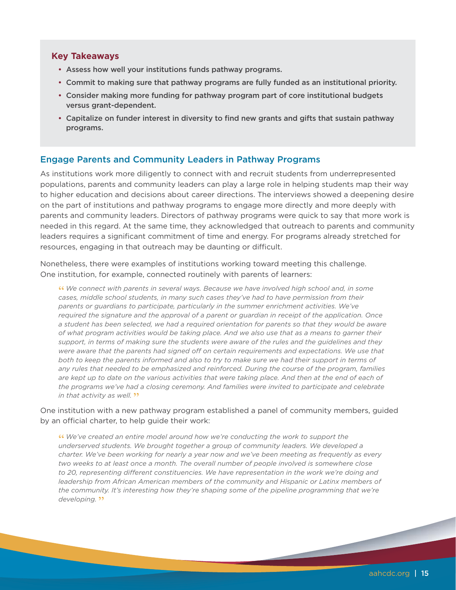#### **Key Takeaways**

- Assess how well your institutions funds pathway programs.
- Commit to making sure that pathway programs are fully funded as an institutional priority.
- Consider making more funding for pathway program part of core institutional budgets versus grant-dependent.
- Capitalize on funder interest in diversity to find new grants and gifts that sustain pathway programs.

#### Engage Parents and Community Leaders in Pathway Programs

As institutions work more diligently to connect with and recruit students from underrepresented populations, parents and community leaders can play a large role in helping students map their way to higher education and decisions about career directions. The interviews showed a deepening desire on the part of institutions and pathway programs to engage more directly and more deeply with parents and community leaders. Directors of pathway programs were quick to say that more work is needed in this regard. At the same time, they acknowledged that outreach to parents and community leaders requires a significant commitment of time and energy. For programs already stretched for resources, engaging in that outreach may be daunting or difficult.

Nonetheless, there were examples of institutions working toward meeting this challenge. One institution, for example, connected routinely with parents of learners:

**"** *We connect with parents in several ways. Because we have involved high school and, in some cases, middle school students, in many such cases they've had to have permission from their parents or guardians to participate, particularly in the summer enrichment activities. We've required the signature and the approval of a parent or guardian in receipt of the application. Once a student has been selected, we had a required orientation for parents so that they would be aware of what program activities would be taking place. And we also use that as a means to garner their support, in terms of making sure the students were aware of the rules and the guidelines and they were aware that the parents had signed off on certain requirements and expectations. We use that both to keep the parents informed and also to try to make sure we had their support in terms of any rules that needed to be emphasized and reinforced. During the course of the program, families*  are kept up to date on the various activities that were taking place. And then at the end of each of *the programs we've had a closing ceremony. And families were invited to participate and celebrate in that activity as well.* **"** 

One institution with a new pathway program established a panel of community members, guided by an official charter, to help guide their work:

**"** *We've created an entire model around how we're conducting the work to support the underserved students. We brought together a group of community leaders. We developed a charter. We've been working for nearly a year now and we've been meeting as frequently as every two weeks to at least once a month. The overall number of people involved is somewhere close to 20, representing different constituencies. We have representation in the work we're doing and leadership from African American members of the community and Hispanic or Latinx members of the community. It's interesting how they're shaping some of the pipeline programming that we're developing.* **"**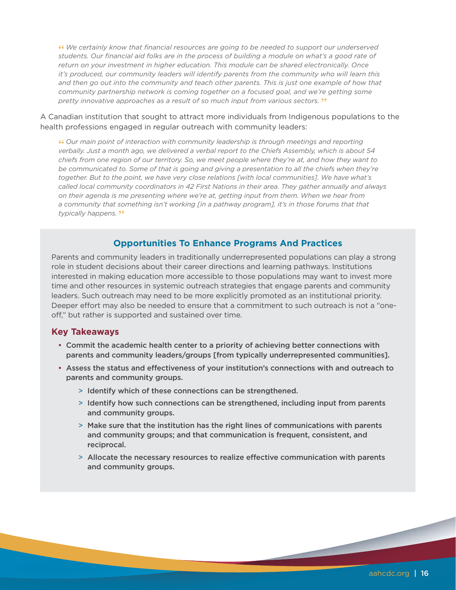**"** *We certainly know that financial resources are going to be needed to support our underserved students. Our financial aid folks are in the process of building a module on what's a good rate of return on your investment in higher education. This module can be shared electronically. Once it's produced, our community leaders will identify parents from the community who will learn this and then go out into the community and teach other parents. This is just one example of how that community partnership network is coming together on a focused goal, and we're getting some pretty innovative approaches as a result of so much input from various sectors.* **"**

A Canadian institution that sought to attract more individuals from Indigenous populations to the health professions engaged in regular outreach with community leaders:

**"** *Our main point of interaction with community leadership is through meetings and reporting verbally. Just a month ago, we delivered a verbal report to the Chiefs Assembly, which is about 54 chiefs from one region of our territory. So, we meet people where they're at, and how they want to be communicated to. Some of that is going and giving a presentation to all the chiefs when they're together. But to the point, we have very close relations [with local communities]. We have what's called local community coordinators in 42 First Nations in their area. They gather annually and always on their agenda is me presenting where we're at, getting input from them. When we hear from a community that something isn't working [in a pathway program], it's in those forums that that typically happens.* **"**

#### **Opportunities To Enhance Programs And Practices**

Parents and community leaders in traditionally underrepresented populations can play a strong role in student decisions about their career directions and learning pathways. Institutions interested in making education more accessible to those populations may want to invest more time and other resources in systemic outreach strategies that engage parents and community leaders. Such outreach may need to be more explicitly promoted as an institutional priority. Deeper effort may also be needed to ensure that a commitment to such outreach is not a "oneoff," but rather is supported and sustained over time.

#### **Key Takeaways**

- Commit the academic health center to a priority of achieving better connections with parents and community leaders/groups [from typically underrepresented communities].
- Assess the status and effectiveness of your institution's connections with and outreach to parents and community groups.
	- > Identify which of these connections can be strengthened.
	- > Identify how such connections can be strengthened, including input from parents and community groups.
	- > Make sure that the institution has the right lines of communications with parents and community groups; and that communication is frequent, consistent, and reciprocal.
	- > Allocate the necessary resources to realize effective communication with parents and community groups.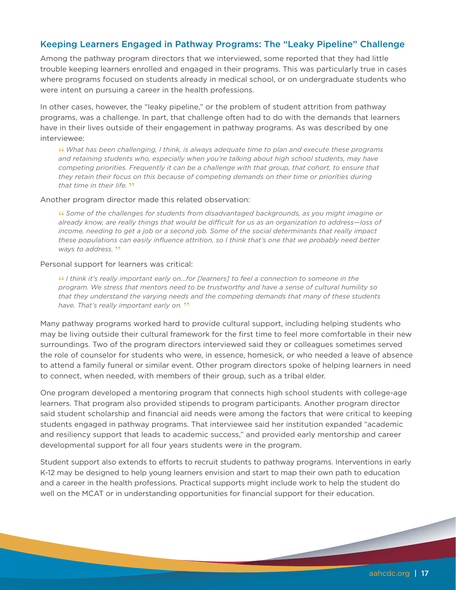#### Keeping Learners Engaged in Pathway Programs: The "Leaky Pipeline" Challenge

Among the pathway program directors that we interviewed, some reported that they had little trouble keeping learners enrolled and engaged in their programs. This was particularly true in cases where programs focused on students already in medical school, or on undergraduate students who were intent on pursuing a career in the health professions.

In other cases, however, the "leaky pipeline," or the problem of student attrition from pathway programs, was a challenge. In part, that challenge often had to do with the demands that learners have in their lives outside of their engagement in pathway programs. As was described by one interviewee:

**"** *What has been challenging, I think, is always adequate time to plan and execute these programs and retaining students who, especially when you're talking about high school students, may have competing priorities. Frequently it can be a challenge with that group, that cohort, to ensure that they retain their focus on this because of competing demands on their time or priorities during that time in their life.* **"**

#### Another program director made this related observation:

**"** *Some of the challenges for students from disadvantaged backgrounds, as you might imagine or already know, are really things that would be difficult for us as an organization to address—loss of income, needing to get a job or a second job. Some of the social determinants that really impact these populations can easily influence attrition, so I think that's one that we probably need better ways to address.* **"**

#### Personal support for learners was critical:

**"** *I think it's really important early on...for [learners] to feel a connection to someone in the program. We stress that mentors need to be trustworthy and have a sense of cultural humility so that they understand the varying needs and the competing demands that many of these students have. That's really important early on.* **"**

Many pathway programs worked hard to provide cultural support, including helping students who may be living outside their cultural framework for the first time to feel more comfortable in their new surroundings. Two of the program directors interviewed said they or colleagues sometimes served the role of counselor for students who were, in essence, homesick, or who needed a leave of absence to attend a family funeral or similar event. Other program directors spoke of helping learners in need to connect, when needed, with members of their group, such as a tribal elder.

One program developed a mentoring program that connects high school students with college-age learners. That program also provided stipends to program participants. Another program director said student scholarship and financial aid needs were among the factors that were critical to keeping students engaged in pathway programs. That interviewee said her institution expanded "academic and resiliency support that leads to academic success," and provided early mentorship and career developmental support for all four years students were in the program.

Student support also extends to efforts to recruit students to pathway programs. Interventions in early K-12 may be designed to help young learners envision and start to map their own path to education and a career in the health professions. Practical supports might include work to help the student do well on the MCAT or in understanding opportunities for financial support for their education.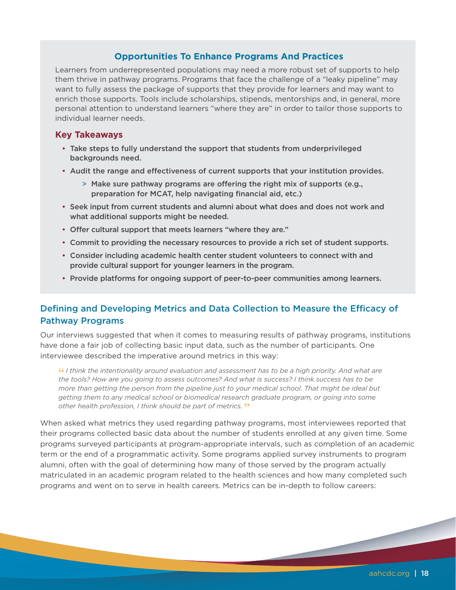#### **Opportunities To Enhance Programs And Practices**

Learners from underrepresented populations may need a more robust set of supports to help them thrive in pathway programs. Programs that face the challenge of a "leaky pipeline" may want to fully assess the package of supports that they provide for learners and may want to enrich those supports. Tools include scholarships, stipends, mentorships and, in general, more personal attention to understand learners "where they are" in order to tailor those supports to individual learner needs.

#### **Key Takeaways**

- Take steps to fully understand the support that students from underprivileged backgrounds need.
- Audit the range and effectiveness of current supports that your institution provides.
	- > Make sure pathway programs are offering the right mix of supports (e.g., preparation for MCAT, help navigating financial aid, etc.)
- Seek input from current students and alumni about what does and does not work and what additional supports might be needed.
- Offer cultural support that meets learners "where they are."
- Commit to providing the necessary resources to provide a rich set of student supports.
- Consider including academic health center student volunteers to connect with and provide cultural support for younger learners in the program.
- Provide platforms for ongoing support of peer-to-peer communities among learners.

#### Defining and Developing Metrics and Data Collection to Measure the Efficacy of Pathway Programs

Our interviews suggested that when it comes to measuring results of pathway programs, institutions have done a fair job of collecting basic input data, such as the number of participants. One interviewee described the imperative around metrics in this way:

**"** *I think the intentionality around evaluation and assessment has to be a high priority. And what are the tools? How are you going to assess outcomes? And what is success? I think success has to be more than getting the person from the pipeline just to your medical school. That might be ideal but getting them to any medical school or biomedical research graduate program, or going into some other health profession, I think should be part of metrics.* **"**

When asked what metrics they used regarding pathway programs, most interviewees reported that their programs collected basic data about the number of students enrolled at any given time. Some programs surveyed participants at program-appropriate intervals, such as completion of an academic term or the end of a programmatic activity. Some programs applied survey instruments to program alumni, often with the goal of determining how many of those served by the program actually matriculated in an academic program related to the health sciences and how many completed such programs and went on to serve in health careers. Metrics can be in-depth to follow careers: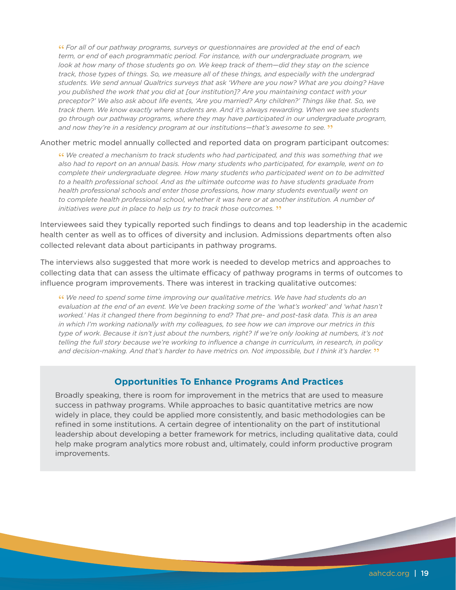**"** *For all of our pathway programs, surveys or questionnaires are provided at the end of each term, or end of each programmatic period. For instance, with our undergraduate program, we look at how many of those students go on. We keep track of them—did they stay on the science track, those types of things. So, we measure all of these things, and especially with the undergrad students. We send annual Qualtrics surveys that ask 'Where are you now? What are you doing? Have you published the work that you did at [our institution]? Are you maintaining contact with your preceptor?' We also ask about life events, 'Are you married? Any children?' Things like that. So, we track them. We know exactly where students are. And it's always rewarding. When we see students go through our pathway programs, where they may have participated in our undergraduate program, and now they're in a residency program at our institutions—that's awesome to see.* **"**

#### Another metric model annually collected and reported data on program participant outcomes:

**"** *We created a mechanism to track students who had participated, and this was something that we also had to report on an annual basis. How many students who participated, for example, went on to complete their undergraduate degree. How many students who participated went on to be admitted to a health professional school. And as the ultimate outcome was to have students graduate from health professional schools and enter those professions, how many students eventually went on to complete health professional school, whether it was here or at another institution. A number of initiatives were put in place to help us try to track those outcomes.* **"**

Interviewees said they typically reported such findings to deans and top leadership in the academic health center as well as to offices of diversity and inclusion. Admissions departments often also collected relevant data about participants in pathway programs.

The interviews also suggested that more work is needed to develop metrics and approaches to collecting data that can assess the ultimate efficacy of pathway programs in terms of outcomes to influence program improvements. There was interest in tracking qualitative outcomes:

**"** *We need to spend some time improving our qualitative metrics. We have had students do an*  evaluation at the end of an event. We've been tracking some of the 'what's worked' and 'what hasn't *worked.' Has it changed there from beginning to end? That pre- and post-task data. This is an area in which I'm working nationally with my colleagues, to see how we can improve our metrics in this type of work. Because it isn't just about the numbers, right? If we're only looking at numbers, it's not telling the full story because we're working to influence a change in curriculum, in research, in policy and decision-making. And that's harder to have metrics on. Not impossible, but I think it's harder.* **"**

#### **Opportunities To Enhance Programs And Practices**

Broadly speaking, there is room for improvement in the metrics that are used to measure success in pathway programs. While approaches to basic quantitative metrics are now widely in place, they could be applied more consistently, and basic methodologies can be refined in some institutions. A certain degree of intentionality on the part of institutional leadership about developing a better framework for metrics, including qualitative data, could help make program analytics more robust and, ultimately, could inform productive program improvements.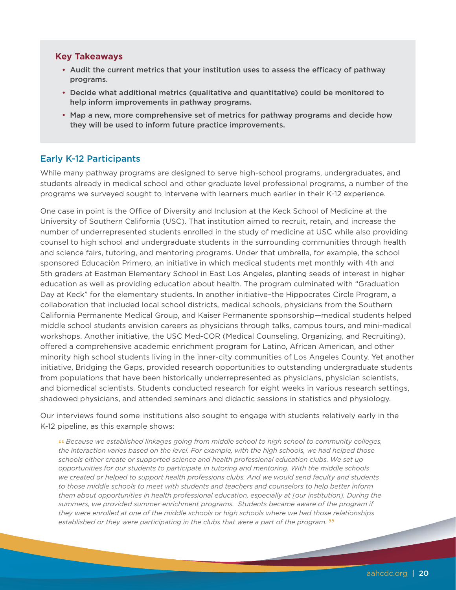#### **Key Takeaways**

- Audit the current metrics that your institution uses to assess the efficacy of pathway programs.
- Decide what additional metrics (qualitative and quantitative) could be monitored to help inform improvements in pathway programs.
- Map a new, more comprehensive set of metrics for pathway programs and decide how they will be used to inform future practice improvements.

#### Early K-12 Participants

While many pathway programs are designed to serve high-school programs, undergraduates, and students already in medical school and other graduate level professional programs, a number of the programs we surveyed sought to intervene with learners much earlier in their K-12 experience.

One case in point is the Office of Diversity and Inclusion at the Keck School of Medicine at the University of Southern California (USC). That institution aimed to recruit, retain, and increase the number of underrepresented students enrolled in the study of medicine at USC while also providing counsel to high school and undergraduate students in the surrounding communities through health and science fairs, tutoring, and mentoring programs. Under that umbrella, for example, the school sponsored Educaciòn Primero, an initiative in which medical students met monthly with 4th and 5th graders at Eastman Elementary School in East Los Angeles, planting seeds of interest in higher education as well as providing education about health. The program culminated with "Graduation Day at Keck" for the elementary students. In another initiative–the Hippocrates Circle Program, a collaboration that included local school districts, medical schools, physicians from the Southern California Permanente Medical Group, and Kaiser Permanente sponsorship—medical students helped middle school students envision careers as physicians through talks, campus tours, and mini-medical workshops. Another initiative, the USC Med-COR (Medical Counseling, Organizing, and Recruiting), offered a comprehensive academic enrichment program for Latino, African American, and other minority high school students living in the inner-city communities of Los Angeles County. Yet another initiative, Bridging the Gaps, provided research opportunities to outstanding undergraduate students from populations that have been historically underrepresented as physicians, physician scientists, and biomedical scientists. Students conducted research for eight weeks in various research settings, shadowed physicians, and attended seminars and didactic sessions in statistics and physiology.

Our interviews found some institutions also sought to engage with students relatively early in the K-12 pipeline, as this example shows:

**"** *Because we established linkages going from middle school to high school to community colleges, the interaction varies based on the level. For example, with the high schools, we had helped those schools either create or supported science and health professional education clubs. We set up opportunities for our students to participate in tutoring and mentoring. With the middle schools we created or helped to support health professions clubs. And we would send faculty and students to those middle schools to meet with students and teachers and counselors to help better inform them about opportunities in health professional education, especially at [our institution]. During the summers, we provided summer enrichment programs. Students became aware of the program if they were enrolled at one of the middle schools or high schools where we had those relationships established or they were participating in the clubs that were a part of the program.* **"**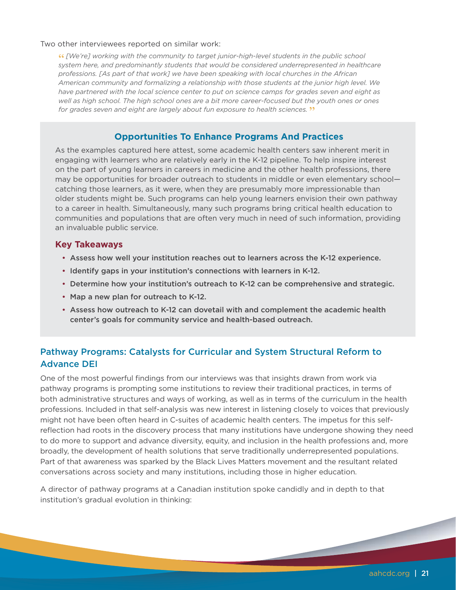#### Two other interviewees reported on similar work:

**"** *[We're] working with the community to target junior-high-level students in the public school system here, and predominantly students that would be considered underrepresented in healthcare professions. [As part of that work] we have been speaking with local churches in the African American community and formalizing a relationship with those students at the junior high level. We have partnered with the local science center to put on science camps for grades seven and eight as well as high school. The high school ones are a bit more career-focused but the youth ones or ones for grades seven and eight are largely about fun exposure to health sciences.* **"**

#### **Opportunities To Enhance Programs And Practices**

As the examples captured here attest, some academic health centers saw inherent merit in engaging with learners who are relatively early in the K-12 pipeline. To help inspire interest on the part of young learners in careers in medicine and the other health professions, there may be opportunities for broader outreach to students in middle or even elementary school catching those learners, as it were, when they are presumably more impressionable than older students might be. Such programs can help young learners envision their own pathway to a career in health. Simultaneously, many such programs bring critical health education to communities and populations that are often very much in need of such information, providing an invaluable public service.

#### **Key Takeaways**

- Assess how well your institution reaches out to learners across the K-12 experience.
- Identify gaps in your institution's connections with learners in K-12.
- Determine how your institution's outreach to K-12 can be comprehensive and strategic.
- Map a new plan for outreach to K-12.
- Assess how outreach to K-12 can dovetail with and complement the academic health center's goals for community service and health-based outreach.

#### Pathway Programs: Catalysts for Curricular and System Structural Reform to Advance DEI

One of the most powerful findings from our interviews was that insights drawn from work via pathway programs is prompting some institutions to review their traditional practices, in terms of both administrative structures and ways of working, as well as in terms of the curriculum in the health professions. Included in that self-analysis was new interest in listening closely to voices that previously might not have been often heard in C-suites of academic health centers. The impetus for this selfreflection had roots in the discovery process that many institutions have undergone showing they need to do more to support and advance diversity, equity, and inclusion in the health professions and, more broadly, the development of health solutions that serve traditionally underrepresented populations. Part of that awareness was sparked by the Black Lives Matters movement and the resultant related conversations across society and many institutions, including those in higher education.

A director of pathway programs at a Canadian institution spoke candidly and in depth to that institution's gradual evolution in thinking: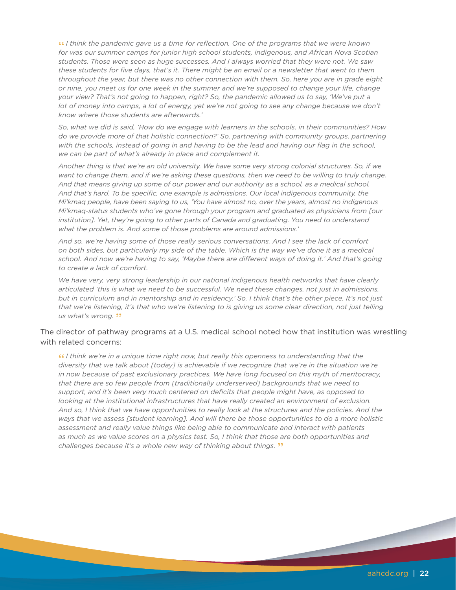**"** *I think the pandemic gave us a time for reflection. One of the programs that we were known for was our summer camps for junior high school students, indigenous, and African Nova Scotian students. Those were seen as huge successes. And I always worried that they were not. We saw these students for five days, that's it. There might be an email or a newsletter that went to them throughout the year, but there was no other connection with them. So, here you are in grade eight or nine, you meet us for one week in the summer and we're supposed to change your life, change your view? That's not going to happen, right? So, the pandemic allowed us to say, 'We've put a lot of money into camps, a lot of energy, yet we're not going to see any change because we don't know where those students are afterwards.'*

*So, what we did is said, 'How do we engage with learners in the schools, in their communities? How do we provide more of that holistic connection?' So, partnering with community groups, partnering*  with the schools, instead of going in and having to be the lead and having our flag in the school, *we can be part of what's already in place and complement it.* 

*Another thing is that we're an old university. We have some very strong colonial structures. So, if we want to change them, and if we're asking these questions, then we need to be willing to truly change. And that means giving up some of our power and our authority as a school, as a medical school. And that's hard. To be specific, one example is admissions. Our local indigenous community, the Mi'kmaq people, have been saying to us, 'You have almost no, over the years, almost no indigenous Mi'kmaq-status students who've gone through your program and graduated as physicians from [our*  institution]. Yet, they're going to other parts of Canada and graduating. You need to understand *what the problem is. And some of those problems are around admissions.'*

*And so, we're having some of those really serious conversations. And I see the lack of comfort on both sides, but particularly my side of the table. Which is the way we've done it as a medical school. And now we're having to say, 'Maybe there are different ways of doing it.' And that's going to create a lack of comfort.* 

*We have very, very strong leadership in our national indigenous health networks that have clearly articulated 'this is what we need to be successful. We need these changes, not just in admissions, but in curriculum and in mentorship and in residency.' So, I think that's the other piece. It's not just that we're listening, it's that who we're listening to is giving us some clear direction, not just telling us what's wrong.* **"**

#### The director of pathway programs at a U.S. medical school noted how that institution was wrestling with related concerns:

**"** *I think we're in a unique time right now, but really this openness to understanding that the diversity that we talk about [today] is achievable if we recognize that we're in the situation we're in now because of past exclusionary practices. We have long focused on this myth of meritocracy, that there are so few people from [traditionally underserved] backgrounds that we need to support, and it's been very much centered on deficits that people might have, as opposed to looking at the institutional infrastructures that have really created an environment of exclusion. And so, I think that we have opportunities to really look at the structures and the policies. And the ways that we assess [student learning]. And will there be those opportunities to do a more holistic assessment and really value things like being able to communicate and interact with patients as much as we value scores on a physics test. So, I think that those are both opportunities and challenges because it's a whole new way of thinking about things.* **"**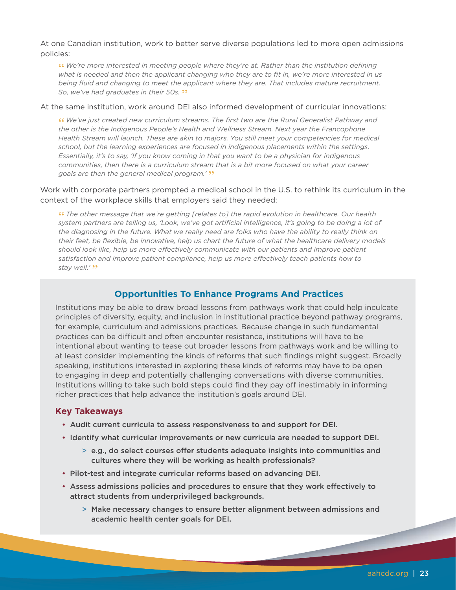At one Canadian institution, work to better serve diverse populations led to more open admissions policies:

**"** *We're more interested in meeting people where they're at. Rather than the institution defining what is needed and then the applicant changing who they are to fit in, we're more interested in us being fluid and changing to meet the applicant where they are. That includes mature recruitment. So, we've had graduates in their 50s.* **"**

#### At the same institution, work around DEI also informed development of curricular innovations:

**"** *We've just created new curriculum streams. The first two are the Rural Generalist Pathway and the other is the Indigenous People's Health and Wellness Stream. Next year the Francophone Health Stream will launch. These are akin to majors. You still meet your competencies for medical school, but the learning experiences are focused in indigenous placements within the settings. Essentially, it's to say, 'If you know coming in that you want to be a physician for indigenous communities, then there is a curriculum stream that is a bit more focused on what your career goals are then the general medical program.'* **"**

#### Work with corporate partners prompted a medical school in the U.S. to rethink its curriculum in the context of the workplace skills that employers said they needed:

**"** *The other message that we're getting [relates to] the rapid evolution in healthcare. Our health system partners are telling us, 'Look, we've got artificial intelligence, it's going to be doing a lot of the diagnosing in the future. What we really need are folks who have the ability to really think on their feet, be flexible, be innovative, help us chart the future of what the healthcare delivery models should look like, help us more effectively communicate with our patients and improve patient satisfaction and improve patient compliance, help us more effectively teach patients how to*  stay well.' **"** 

#### **Opportunities To Enhance Programs And Practices**

Institutions may be able to draw broad lessons from pathways work that could help inculcate principles of diversity, equity, and inclusion in institutional practice beyond pathway programs, for example, curriculum and admissions practices. Because change in such fundamental practices can be difficult and often encounter resistance, institutions will have to be intentional about wanting to tease out broader lessons from pathways work and be willing to at least consider implementing the kinds of reforms that such findings might suggest. Broadly speaking, institutions interested in exploring these kinds of reforms may have to be open to engaging in deep and potentially challenging conversations with diverse communities. Institutions willing to take such bold steps could find they pay off inestimably in informing richer practices that help advance the institution's goals around DEI.

#### **Key Takeaways**

- Audit current curricula to assess responsiveness to and support for DEI.
- Identify what curricular improvements or new curricula are needed to support DEI.
	- > e.g., do select courses offer students adequate insights into communities and cultures where they will be working as health professionals?
- Pilot-test and integrate curricular reforms based on advancing DEI.
- Assess admissions policies and procedures to ensure that they work effectively to attract students from underprivileged backgrounds.
	- > Make necessary changes to ensure better alignment between admissions and academic health center goals for DEI.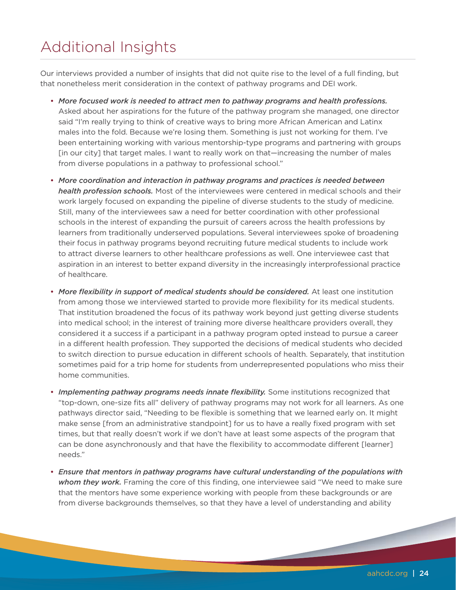# Additional Insights

Our interviews provided a number of insights that did not quite rise to the level of a full finding, but that nonetheless merit consideration in the context of pathway programs and DEI work.

- *More focused work is needed to attract men to pathway programs and health professions.* Asked about her aspirations for the future of the pathway program she managed, one director said "I'm really trying to think of creative ways to bring more African American and Latinx males into the fold. Because we're losing them. Something is just not working for them. I've been entertaining working with various mentorship-type programs and partnering with groups [in our city] that target males. I want to really work on that-increasing the number of males from diverse populations in a pathway to professional school."
- *More coordination and interaction in pathway programs and practices is needed between health profession schools.* Most of the interviewees were centered in medical schools and their work largely focused on expanding the pipeline of diverse students to the study of medicine. Still, many of the interviewees saw a need for better coordination with other professional schools in the interest of expanding the pursuit of careers across the health professions by learners from traditionally underserved populations. Several interviewees spoke of broadening their focus in pathway programs beyond recruiting future medical students to include work to attract diverse learners to other healthcare professions as well. One interviewee cast that aspiration in an interest to better expand diversity in the increasingly interprofessional practice of healthcare.
- More flexibility in support of medical students should be considered. At least one institution from among those we interviewed started to provide more flexibility for its medical students. That institution broadened the focus of its pathway work beyond just getting diverse students into medical school; in the interest of training more diverse healthcare providers overall, they considered it a success if a participant in a pathway program opted instead to pursue a career in a different health profession. They supported the decisions of medical students who decided to switch direction to pursue education in different schools of health. Separately, that institution sometimes paid for a trip home for students from underrepresented populations who miss their home communities.
- *Implementing pathway programs needs innate flexibility.* Some institutions recognized that "top-down, one-size fits all" delivery of pathway programs may not work for all learners. As one pathways director said, "Needing to be flexible is something that we learned early on. It might make sense [from an administrative standpoint] for us to have a really fixed program with set times, but that really doesn't work if we don't have at least some aspects of the program that can be done asynchronously and that have the flexibility to accommodate different [learner] needs."
- *Ensure that mentors in pathway programs have cultural understanding of the populations with whom they work.* Framing the core of this finding, one interviewee said "We need to make sure that the mentors have some experience working with people from these backgrounds or are from diverse backgrounds themselves, so that they have a level of understanding and ability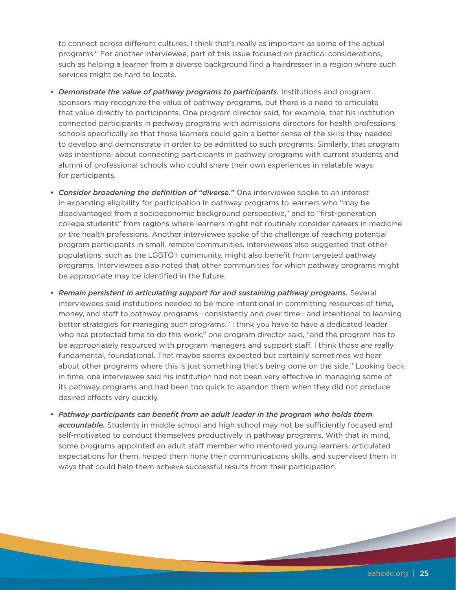to connect across different cultures. I think that's really as important as some of the actual programs." For another interviewee, part of this issue focused on practical considerations, such as helping a learner from a diverse background find a hairdresser in a region where such services might be hard to locate.

- *Demonstrate the value of pathway programs to participants.* Institutions and program sponsors may recognize the value of pathway programs, but there is a need to articulate that value directly to participants. One program director said, for example, that his institution connected participants in pathway programs with admissions directors for health professions schools specifically so that those learners could gain a better sense of the skills they needed to develop and demonstrate in order to be admitted to such programs. Similarly, that program was intentional about connecting participants in pathway programs with current students and alumni of professional schools who could share their own experiences in relatable ways for participants.
- *Consider broadening the definition of "diverse."* One interviewee spoke to an interest in expanding eligibility for participation in pathway programs to learners who "may be disadvantaged from a socioeconomic background perspective," and to "first-generation college students" from regions where learners might not routinely consider careers in medicine or the health professions. Another interviewee spoke of the challenge of reaching potential program participants in small, remote communities. Interviewees also suggested that other populations, such as the LGBTQ+ community, might also benefit from targeted pathway programs. Interviewees also noted that other communities for which pathway programs might be appropriate may be identified in the future.
- *Remain persistent in articulating support for and sustaining pathway programs.* Several interviewees said institutions needed to be more intentional in committing resources of time, money, and staff to pathway programs—consistently and over time—and intentional to learning better strategies for managing such programs. "I think you have to have a dedicated leader who has protected time to do this work," one program director said, "and the program has to be appropriately resourced with program managers and support staff. I think those are really fundamental, foundational. That maybe seems expected but certainly sometimes we hear about other programs where this is just something that's being done on the side." Looking back in time, one interviewee said his institution had not been very effective in managing some of its pathway programs and had been too quick to abandon them when they did not produce desired effects very quickly.
- *Pathway participants can benefit from an adult leader in the program who holds them accountable.* Students in middle school and high school may not be sufficiently focused and self-motivated to conduct themselves productively in pathway programs. With that in mind, some programs appointed an adult staff member who mentored young learners, articulated expectations for them, helped them hone their communications skills, and supervised them in ways that could help them achieve successful results from their participation.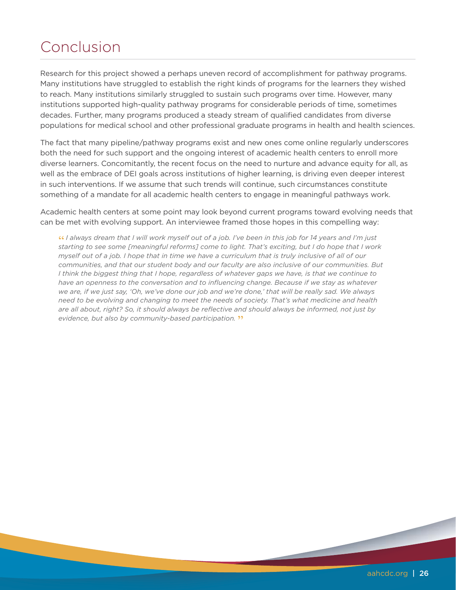# Conclusion

Research for this project showed a perhaps uneven record of accomplishment for pathway programs. Many institutions have struggled to establish the right kinds of programs for the learners they wished to reach. Many institutions similarly struggled to sustain such programs over time. However, many institutions supported high-quality pathway programs for considerable periods of time, sometimes decades. Further, many programs produced a steady stream of qualified candidates from diverse populations for medical school and other professional graduate programs in health and health sciences.

The fact that many pipeline/pathway programs exist and new ones come online regularly underscores both the need for such support and the ongoing interest of academic health centers to enroll more diverse learners. Concomitantly, the recent focus on the need to nurture and advance equity for all, as well as the embrace of DEI goals across institutions of higher learning, is driving even deeper interest in such interventions. If we assume that such trends will continue, such circumstances constitute something of a mandate for all academic health centers to engage in meaningful pathways work.

Academic health centers at some point may look beyond current programs toward evolving needs that can be met with evolving support. An interviewee framed those hopes in this compelling way:

**"** *I always dream that I will work myself out of a job. I've been in this job for 14 years and I'm just starting to see some [meaningful reforms] come to light. That's exciting, but I do hope that I work myself out of a job. I hope that in time we have a curriculum that is truly inclusive of all of our communities, and that our student body and our faculty are also inclusive of our communities. But I think the biggest thing that I hope, regardless of whatever gaps we have, is that we continue to have an openness to the conversation and to influencing change. Because if we stay as whatever we are, if we just say, 'Oh, we've done our job and we're done,' that will be really sad. We always need to be evolving and changing to meet the needs of society. That's what medicine and health are all about, right? So, it should always be reflective and should always be informed, not just by evidence, but also by community-based participation.* **"**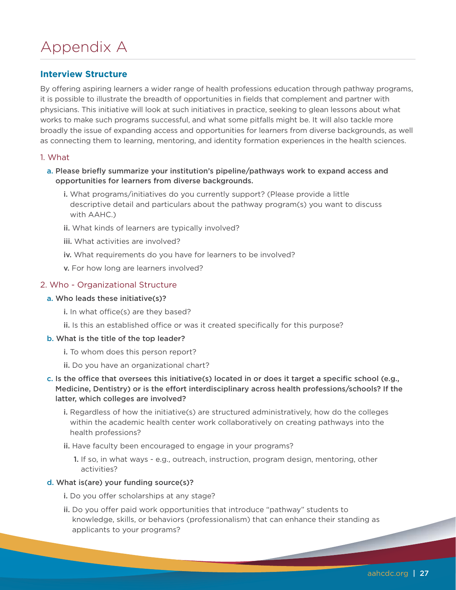# Appendix A

#### **Interview Structure**

By offering aspiring learners a wider range of health professions education through pathway programs, it is possible to illustrate the breadth of opportunities in fields that complement and partner with physicians. This initiative will look at such initiatives in practice, seeking to glean lessons about what works to make such programs successful, and what some pitfalls might be. It will also tackle more broadly the issue of expanding access and opportunities for learners from diverse backgrounds, as well as connecting them to learning, mentoring, and identity formation experiences in the health sciences.

#### 1. What

- a. Please briefly summarize your institution's pipeline/pathways work to expand access and opportunities for learners from diverse backgrounds.
	- i. What programs/initiatives do you currently support? (Please provide a little descriptive detail and particulars about the pathway program(s) you want to discuss with AAHC.)
	- ii. What kinds of learners are typically involved?
	- iii. What activities are involved?
	- iv. What requirements do you have for learners to be involved?
	- v. For how long are learners involved?

#### 2. Who - Organizational Structure

#### a. Who leads these initiative(s)?

- i. In what office(s) are they based?
- ii. Is this an established office or was it created specifically for this purpose?

#### b. What is the title of the top leader?

- i. To whom does this person report?
- ii. Do you have an organizational chart?
- c. Is the office that oversees this initiative(s) located in or does it target a specific school (e.g., Medicine, Dentistry) or is the effort interdisciplinary across health professions/schools? If the latter, which colleges are involved?
	- i. Regardless of how the initiative(s) are structured administratively, how do the colleges within the academic health center work collaboratively on creating pathways into the health professions?
	- ii. Have faculty been encouraged to engage in your programs?
		- 1. If so, in what ways e.g., outreach, instruction, program design, mentoring, other activities?

#### d. What is(are) your funding source(s)?

- i. Do you offer scholarships at any stage?
- ii. Do you offer paid work opportunities that introduce "pathway" students to knowledge, skills, or behaviors (professionalism) that can enhance their standing as applicants to your programs?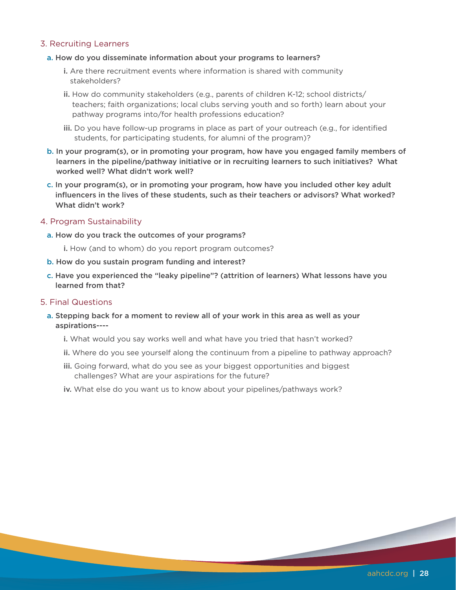#### 3. Recruiting Learners

#### a. How do you disseminate information about your programs to learners?

- i. Are there recruitment events where information is shared with community stakeholders?
- ii. How do community stakeholders (e.g., parents of children K-12; school districts/ teachers; faith organizations; local clubs serving youth and so forth) learn about your pathway programs into/for health professions education?
- iii. Do you have follow-up programs in place as part of your outreach (e.g., for identified students, for participating students, for alumni of the program)?
- b. In your program(s), or in promoting your program, how have you engaged family members of learners in the pipeline/pathway initiative or in recruiting learners to such initiatives? What worked well? What didn't work well?
- c. In your program(s), or in promoting your program, how have you included other key adult influencers in the lives of these students, such as their teachers or advisors? What worked? What didn't work?

#### 4. Program Sustainability

- a. How do you track the outcomes of your programs?
	- i. How (and to whom) do you report program outcomes?
- b. How do you sustain program funding and interest?
- c. Have you experienced the "leaky pipeline"? (attrition of learners) What lessons have you learned from that?

#### 5. Final Questions

- a. Stepping back for a moment to review all of your work in this area as well as your aspirations---
	- i. What would you say works well and what have you tried that hasn't worked?
	- ii. Where do you see yourself along the continuum from a pipeline to pathway approach?
	- iii. Going forward, what do you see as your biggest opportunities and biggest challenges? What are your aspirations for the future?
	- iv. What else do you want us to know about your pipelines/pathways work?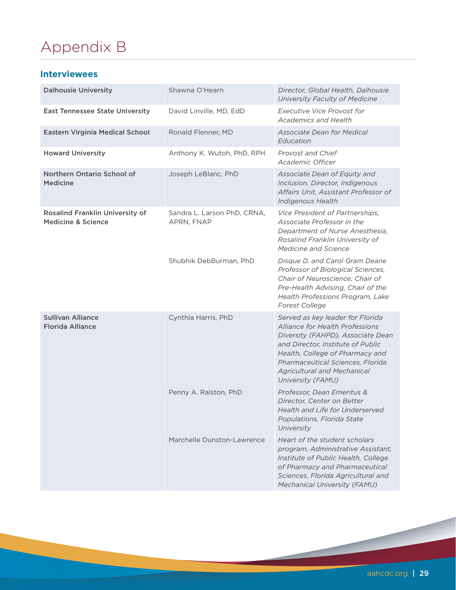# Appendix B

#### **Interviewees**

| <b>Dalhousie University</b>                                             | Shawna O'Hearn                            | Director, Global Health, Dalhousie<br>University Faculty of Medicine                                                                                                                                                                                                            |
|-------------------------------------------------------------------------|-------------------------------------------|---------------------------------------------------------------------------------------------------------------------------------------------------------------------------------------------------------------------------------------------------------------------------------|
| <b>East Tennessee State University</b>                                  | David Linville, MD, EdD                   | <b>Executive Vice Provost for</b><br><b>Academics and Health</b>                                                                                                                                                                                                                |
| Eastern Virginia Medical School                                         | Ronald Flenner, MD                        | <b>Associate Dean for Medical</b><br>Education                                                                                                                                                                                                                                  |
| <b>Howard University</b>                                                | Anthony K. Wutoh, PhD, RPH                | Provost and Chief<br>Academic Officer                                                                                                                                                                                                                                           |
| Northern Ontario School of<br><b>Medicine</b>                           | Joseph LeBlanc, PhD                       | Associate Dean of Equity and<br>Inclusion, Director, Indigenous<br>Affairs Unit, Assistant Professor of<br>Indigenous Health                                                                                                                                                    |
| <b>Rosalind Franklin University of</b><br><b>Medicine &amp; Science</b> | Sandra L. Larson PhD, CRNA,<br>APRN, FNAP | Vice President of Partnerships,<br>Associate Professor in the<br>Department of Nurse Anesthesia,<br>Rosalind Franklin University of<br>Medicine and Science                                                                                                                     |
|                                                                         | Shubhik DebBurman, PhD                    | Disque D. and Carol Gram Deane<br>Professor of Biological Sciences,<br>Chair of Neuroscience, Chair of<br>Pre-Health Advising, Chair of the<br>Health Professions Program, Lake<br><b>Forest College</b>                                                                        |
| <b>Sullivan Alliance</b><br><b>Florida Alliance</b>                     | Cynthia Harris, PhD                       | Served as key leader for Florida<br>Alliance for Health Professions<br>Diversity (FAHPD), Associate Dean<br>and Director, Institute of Public<br>Health, College of Pharmacy and<br>Pharmaceutical Sciences, Florida<br><b>Agricultural and Mechanical</b><br>University (FAMU) |
|                                                                         | Penny A. Ralston, PhD                     | Professor, Dean Emeritus &<br>Director, Center on Better<br>Health and Life for Underserved<br>Populations, Florida State<br>University                                                                                                                                         |
|                                                                         | Marchelle Dunston-Lawrence                | Heart of the student scholars<br>program, Administrative Assistant,<br>Institute of Public Health, College<br>of Pharmacy and Pharmaceutical<br>Sciences, Florida Agricultural and<br>Mechanical University (FAMU)                                                              |